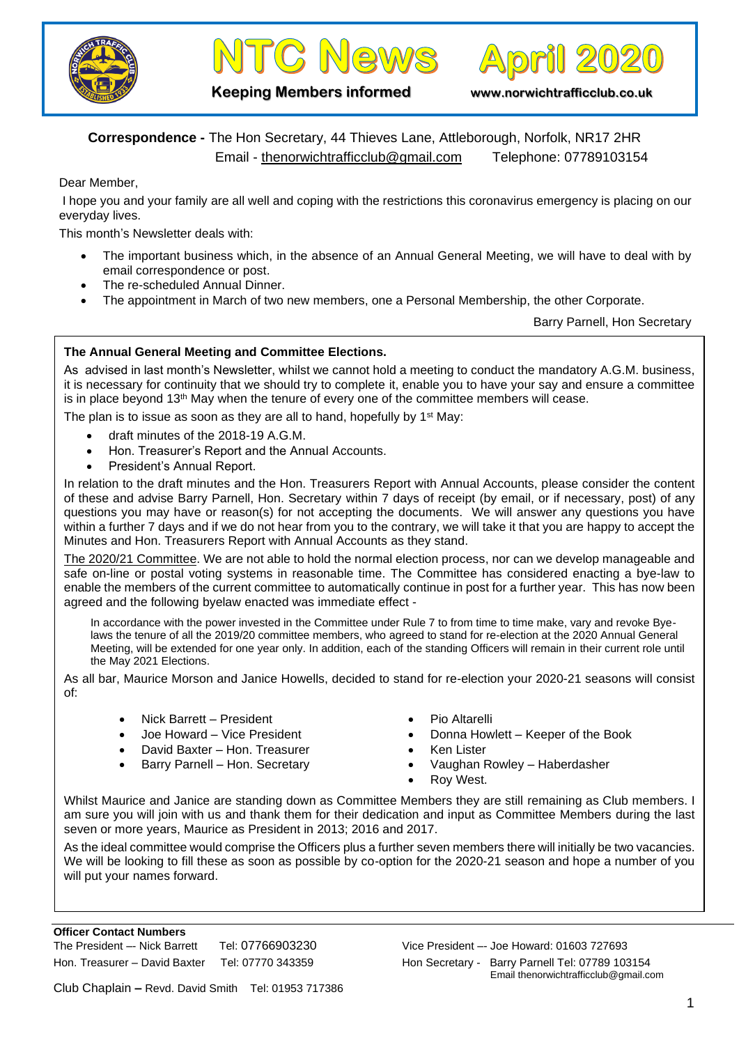





**Keeping Members informed www.norwichtrafficclub.co.uk**

## **Correspondence -** The Hon Secretary, 44 Thieves Lane, Attleborough, Norfolk, NR17 2HR Email - [thenorwichtrafficclub@gmail.com](mailto:thenorwichtrafficclub@gmail.com) Telephone: 07789103154

Dear Member,

I hope you and your family are all well and coping with the restrictions this coronavirus emergency is placing on our everyday lives.

This month's Newsletter deals with:

- The important business which, in the absence of an Annual General Meeting, we will have to deal with by email correspondence or post.
- The re-scheduled Annual Dinner.
- The appointment in March of two new members, one a Personal Membership, the other Corporate.

Barry Parnell, Hon Secretary

## **The Annual General Meeting and Committee Elections.**

As advised in last month's Newsletter, whilst we cannot hold a meeting to conduct the mandatory A.G.M. business, it is necessary for continuity that we should try to complete it, enable you to have your say and ensure a committee is in place beyond  $13<sup>th</sup>$  May when the tenure of every one of the committee members will cease.

The plan is to issue as soon as they are all to hand, hopefully by  $1<sup>st</sup>$  May:

- draft minutes of the 2018-19 A.G.M.
- Hon. Treasurer's Report and the Annual Accounts.
- President's Annual Report.

In relation to the draft minutes and the Hon. Treasurers Report with Annual Accounts, please consider the content of these and advise Barry Parnell, Hon. Secretary within 7 days of receipt (by email, or if necessary, post) of any questions you may have or reason(s) for not accepting the documents. We will answer any questions you have within a further 7 days and if we do not hear from you to the contrary, we will take it that you are happy to accept the Minutes and Hon. Treasurers Report with Annual Accounts as they stand.

The 2020/21 Committee. We are not able to hold the normal election process, nor can we develop manageable and safe on-line or postal voting systems in reasonable time. The Committee has considered enacting a bye-law to enable the members of the current committee to automatically continue in post for a further year. This has now been agreed and the following byelaw enacted was immediate effect -

In accordance with the power invested in the Committee under Rule 7 to from time to time make, vary and revoke Byelaws the tenure of all the 2019/20 committee members, who agreed to stand for re-election at the 2020 Annual General Meeting, will be extended for one year only. In addition, each of the standing Officers will remain in their current role until the May 2021 Elections.

As all bar, Maurice Morson and Janice Howells, decided to stand for re-election your 2020-21 seasons will consist of:

- Nick Barrett President
- Joe Howard Vice President
- David Baxter Hon. Treasurer
- Barry Parnell Hon. Secretary
- Pio Altarelli
- Donna Howlett Keeper of the Book
- Ken Lister
- Vaughan Rowley Haberdasher
- Roy West.

Whilst Maurice and Janice are standing down as Committee Members they are still remaining as Club members. I am sure you will join with us and thank them for their dedication and input as Committee Members during the last seven or more years, Maurice as President in 2013; 2016 and 2017.

As the ideal committee would comprise the Officers plus a further seven members there will initially be two vacancies. We will be looking to fill these as soon as possible by co-option for the 2020-21 season and hope a number of you will put your names forward.

The President –- Nick Barrett Tel: 07766903230 Vice President –- Joe Howard: 01603 727693 Hon. Treasurer – David Baxter Tel: 07770 343359 Hon Secretary - Barry Parnell Tel: 07789 103154 Email thenorwichtrafficclub@gmail.com